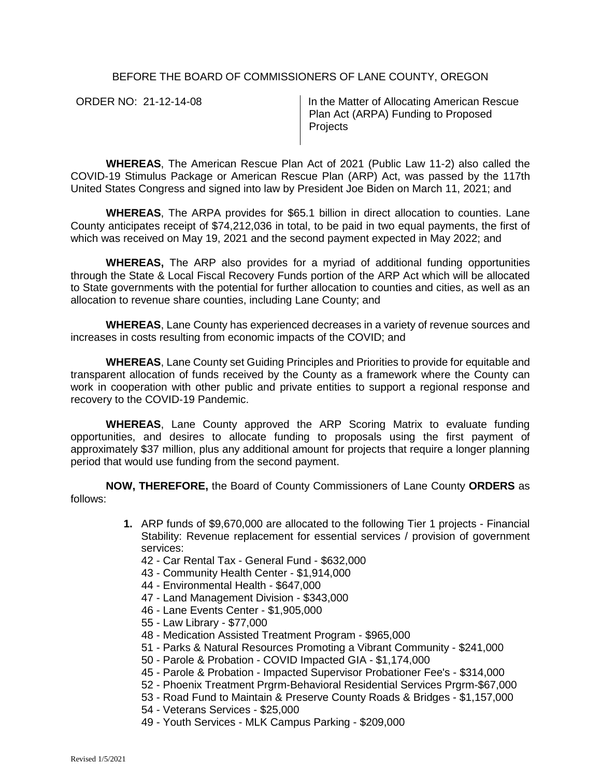## BEFORE THE BOARD OF COMMISSIONERS OF LANE COUNTY, OREGON

ORDER NO: 21-12-14-08 **In the Matter of Allocating American Rescue** Plan Act (ARPA) Funding to Proposed **Projects** 

**WHEREAS**, The American Rescue Plan Act of 2021 (Public Law 11-2) also called the COVID-19 Stimulus Package or American Rescue Plan (ARP) Act, was passed by the 117th United States Congress and signed into law by President Joe Biden on March 11, 2021; and

**WHEREAS**, The ARPA provides for \$65.1 billion in direct allocation to counties. Lane County anticipates receipt of \$74,212,036 in total, to be paid in two equal payments, the first of which was received on May 19, 2021 and the second payment expected in May 2022; and

**WHEREAS,** The ARP also provides for a myriad of additional funding opportunities through the State & Local Fiscal Recovery Funds portion of the ARP Act which will be allocated to State governments with the potential for further allocation to counties and cities, as well as an allocation to revenue share counties, including Lane County; and

**WHEREAS**, Lane County has experienced decreases in a variety of revenue sources and increases in costs resulting from economic impacts of the COVID; and

**WHEREAS**, Lane County set Guiding Principles and Priorities to provide for equitable and transparent allocation of funds received by the County as a framework where the County can work in cooperation with other public and private entities to support a regional response and recovery to the COVID-19 Pandemic.

**WHEREAS**, Lane County approved the ARP Scoring Matrix to evaluate funding opportunities, and desires to allocate funding to proposals using the first payment of approximately \$37 million, plus any additional amount for projects that require a longer planning period that would use funding from the second payment.

**NOW, THEREFORE,** the Board of County Commissioners of Lane County **ORDERS** as follows:

- **1.** ARP funds of \$9,670,000 are allocated to the following Tier 1 projects Financial Stability: Revenue replacement for essential services / provision of government services:
	- 42 Car Rental Tax General Fund \$632,000
	- 43 Community Health Center \$1,914,000
	- 44 Environmental Health \$647,000
	- 47 Land Management Division \$343,000
	- 46 Lane Events Center \$1,905,000
	- 55 Law Library \$77,000
	- 48 Medication Assisted Treatment Program \$965,000
	- 51 Parks & Natural Resources Promoting a Vibrant Community \$241,000
	- 50 Parole & Probation COVID Impacted GIA \$1,174,000
	- 45 Parole & Probation Impacted Supervisor Probationer Fee's \$314,000
	- 52 Phoenix Treatment Prgrm-Behavioral Residential Services Prgrm-\$67,000
	- 53 Road Fund to Maintain & Preserve County Roads & Bridges \$1,157,000
	- 54 Veterans Services \$25,000
	- 49 Youth Services MLK Campus Parking \$209,000